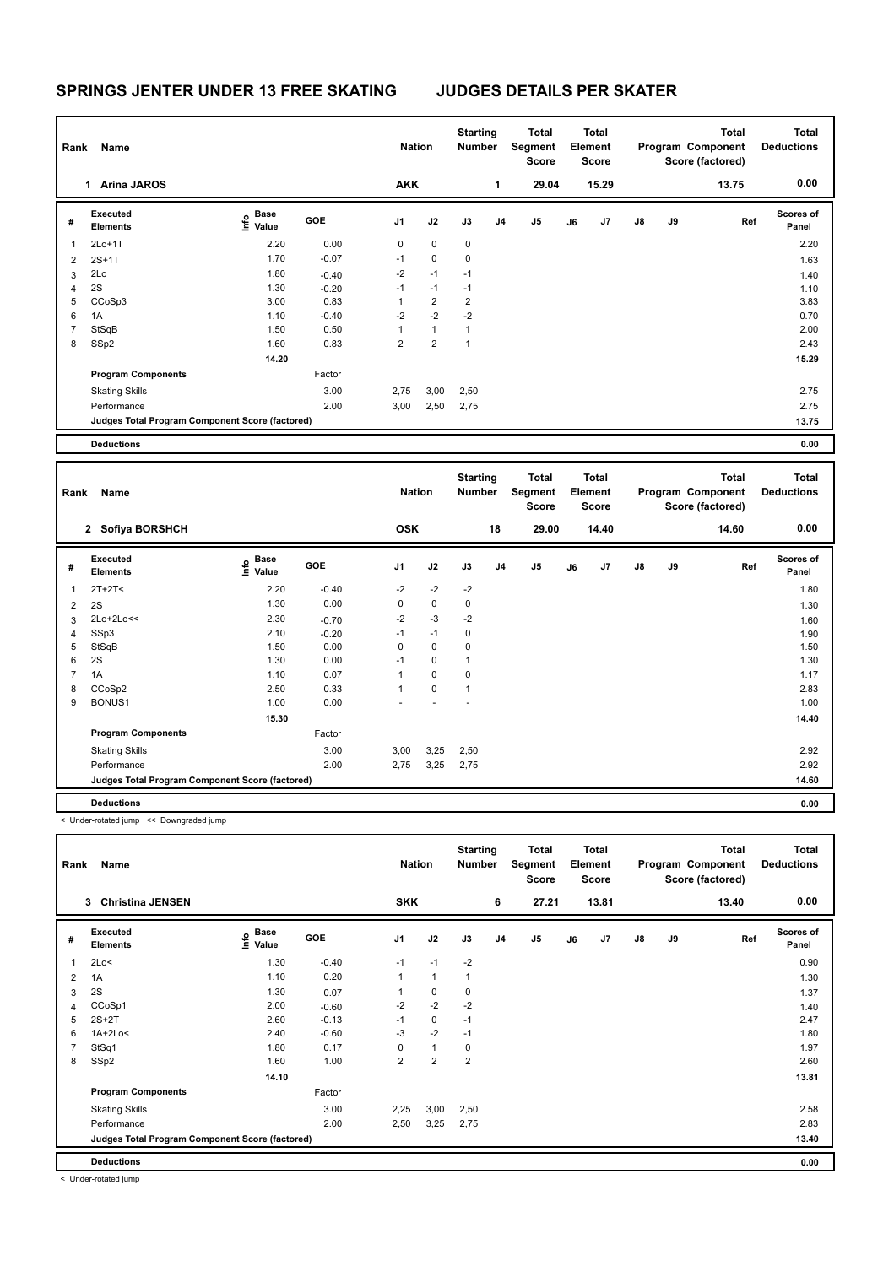| Rank           | Name                                            |                                  |            | <b>Nation</b>  |                | <b>Starting</b><br><b>Number</b> |                | Total<br>Segment<br><b>Score</b> |    | <b>Total</b><br>Element<br>Score |               |    | <b>Total</b><br>Program Component<br>Score (factored) | Total<br><b>Deductions</b> |
|----------------|-------------------------------------------------|----------------------------------|------------|----------------|----------------|----------------------------------|----------------|----------------------------------|----|----------------------------------|---------------|----|-------------------------------------------------------|----------------------------|
|                | <b>Arina JAROS</b><br>1                         |                                  |            | <b>AKK</b>     |                |                                  | 1              | 29.04                            |    | 15.29                            |               |    | 13.75                                                 | 0.00                       |
| #              | Executed<br><b>Elements</b>                     | <b>Base</b><br>o Base<br>⊆ Value | <b>GOE</b> | J1             | J2             | J3                               | J <sub>4</sub> | J5                               | J6 | J7                               | $\mathsf{J}8$ | J9 | Ref                                                   | <b>Scores of</b><br>Panel  |
| $\overline{1}$ | $2Lo+1T$                                        | 2.20                             | 0.00       | 0              | $\mathbf 0$    | 0                                |                |                                  |    |                                  |               |    |                                                       | 2.20                       |
| 2              | $2S+1T$                                         | 1.70                             | $-0.07$    | $-1$           | $\mathbf 0$    | $\mathbf 0$                      |                |                                  |    |                                  |               |    |                                                       | 1.63                       |
| 3              | 2Lo                                             | 1.80                             | $-0.40$    | $-2$           | $-1$           | $-1$                             |                |                                  |    |                                  |               |    |                                                       | 1.40                       |
| 4              | 2S                                              | 1.30                             | $-0.20$    | $-1$           | $-1$           | $-1$                             |                |                                  |    |                                  |               |    |                                                       | 1.10                       |
| 5              | CCoSp3                                          | 3.00                             | 0.83       | 1              | $\overline{2}$ | $\overline{2}$                   |                |                                  |    |                                  |               |    |                                                       | 3.83                       |
| 6              | 1A                                              | 1.10                             | $-0.40$    | $-2$           | $-2$           | $-2$                             |                |                                  |    |                                  |               |    |                                                       | 0.70                       |
| $\overline{7}$ | StSqB                                           | 1.50                             | 0.50       | 1              | $\mathbf{1}$   | 1                                |                |                                  |    |                                  |               |    |                                                       | 2.00                       |
| 8              | SSp2                                            | 1.60                             | 0.83       | $\overline{2}$ | $\overline{2}$ | 1                                |                |                                  |    |                                  |               |    |                                                       | 2.43                       |
|                |                                                 | 14.20                            |            |                |                |                                  |                |                                  |    |                                  |               |    |                                                       | 15.29                      |
|                | <b>Program Components</b>                       |                                  | Factor     |                |                |                                  |                |                                  |    |                                  |               |    |                                                       |                            |
|                | <b>Skating Skills</b>                           |                                  | 3.00       | 2,75           | 3,00           | 2,50                             |                |                                  |    |                                  |               |    |                                                       | 2.75                       |
|                | Performance                                     |                                  | 2.00       | 3,00           | 2,50           | 2,75                             |                |                                  |    |                                  |               |    |                                                       | 2.75                       |
|                | Judges Total Program Component Score (factored) |                                  |            |                |                |                                  |                |                                  |    |                                  |               |    |                                                       | 13.75                      |
|                | <b>Deductions</b>                               |                                  |            |                |                |                                  |                |                                  |    |                                  |               |    |                                                       | 0.00                       |

| Rank | Name                                            |                           |         | <b>Nation</b> |             | <b>Starting</b><br>Number |    | Total<br>Segment<br><b>Score</b> |    | <b>Total</b><br>Element<br><b>Score</b> |               |    | <b>Total</b><br>Program Component<br>Score (factored) | <b>Total</b><br><b>Deductions</b> |
|------|-------------------------------------------------|---------------------------|---------|---------------|-------------|---------------------------|----|----------------------------------|----|-----------------------------------------|---------------|----|-------------------------------------------------------|-----------------------------------|
|      | 2 Sofiya BORSHCH                                |                           |         | <b>OSK</b>    |             |                           | 18 | 29.00                            |    | 14.40                                   |               |    | 14.60                                                 | 0.00                              |
| #    | Executed<br><b>Elements</b>                     | Base<br>e Base<br>⊆ Value | GOE     | J1            | J2          | J3                        | J4 | J5                               | J6 | J7                                      | $\mathsf{J}8$ | J9 | Ref                                                   | <b>Scores of</b><br>Panel         |
| 1    | $2T+2T2$                                        | 2.20                      | $-0.40$ | $-2$          | $-2$        | $-2$                      |    |                                  |    |                                         |               |    |                                                       | 1.80                              |
| 2    | 2S                                              | 1.30                      | 0.00    | 0             | $\pmb{0}$   | 0                         |    |                                  |    |                                         |               |    |                                                       | 1.30                              |
| 3    | $2Lo+2Lo<<$                                     | 2.30                      | $-0.70$ | $-2$          | $-3$        | $-2$                      |    |                                  |    |                                         |               |    |                                                       | 1.60                              |
| 4    | SSp3                                            | 2.10                      | $-0.20$ | $-1$          | $-1$        | 0                         |    |                                  |    |                                         |               |    |                                                       | 1.90                              |
| 5    | StSqB                                           | 1.50                      | 0.00    | 0             | 0           | 0                         |    |                                  |    |                                         |               |    |                                                       | 1.50                              |
| 6    | 2S                                              | 1.30                      | 0.00    | $-1$          | $\pmb{0}$   | $\overline{1}$            |    |                                  |    |                                         |               |    |                                                       | 1.30                              |
| 7    | 1A                                              | 1.10                      | 0.07    | $\mathbf{1}$  | $\mathbf 0$ | 0                         |    |                                  |    |                                         |               |    |                                                       | 1.17                              |
| 8    | CCoSp2                                          | 2.50                      | 0.33    | $\mathbf{1}$  | $\mathbf 0$ | $\mathbf{1}$              |    |                                  |    |                                         |               |    |                                                       | 2.83                              |
| 9    | BONUS1                                          | 1.00                      | 0.00    |               |             |                           |    |                                  |    |                                         |               |    |                                                       | 1.00                              |
|      |                                                 | 15.30                     |         |               |             |                           |    |                                  |    |                                         |               |    |                                                       | 14.40                             |
|      | <b>Program Components</b>                       |                           | Factor  |               |             |                           |    |                                  |    |                                         |               |    |                                                       |                                   |
|      | <b>Skating Skills</b>                           |                           | 3.00    | 3,00          | 3,25        | 2,50                      |    |                                  |    |                                         |               |    |                                                       | 2.92                              |
|      | Performance                                     |                           | 2.00    | 2,75          | 3,25        | 2,75                      |    |                                  |    |                                         |               |    |                                                       | 2.92                              |
|      | Judges Total Program Component Score (factored) |                           |         |               |             |                           |    |                                  |    |                                         |               |    |                                                       | 14.60                             |
|      | <b>Deductions</b>                               |                           |         |               |             |                           |    |                                  |    |                                         |               |    |                                                       | 0.00                              |

< Under-rotated jump << Downgraded jump

| Rank | Name                                            |                                         |         | <b>Nation</b>  |                | <b>Starting</b><br><b>Number</b> |                | <b>Total</b><br>Segment<br><b>Score</b> |    | Total<br>Element<br><b>Score</b> |               |    | <b>Total</b><br>Program Component<br>Score (factored) | Total<br><b>Deductions</b> |
|------|-------------------------------------------------|-----------------------------------------|---------|----------------|----------------|----------------------------------|----------------|-----------------------------------------|----|----------------------------------|---------------|----|-------------------------------------------------------|----------------------------|
|      | <b>Christina JENSEN</b><br>3                    |                                         |         | <b>SKK</b>     |                |                                  | 6              | 27.21                                   |    | 13.81                            |               |    | 13.40                                                 | 0.00                       |
| #    | <b>Executed</b><br><b>Elements</b>              | $\mathsf{e}$ Base<br>$\mathsf{E}$ Value | GOE     | J <sub>1</sub> | J2             | J3                               | J <sub>4</sub> | J <sub>5</sub>                          | J6 | J7                               | $\mathsf{J}8$ | J9 | Ref                                                   | <b>Scores of</b><br>Panel  |
| 1    | 2Lo<                                            | 1.30                                    | $-0.40$ | $-1$           | $-1$           | $-2$                             |                |                                         |    |                                  |               |    |                                                       | 0.90                       |
| 2    | 1A                                              | 1.10                                    | 0.20    | 1              | $\mathbf{1}$   |                                  |                |                                         |    |                                  |               |    |                                                       | 1.30                       |
| 3    | 2S                                              | 1.30                                    | 0.07    | 1              | $\mathbf 0$    | 0                                |                |                                         |    |                                  |               |    |                                                       | 1.37                       |
| 4    | CCoSp1                                          | 2.00                                    | $-0.60$ | $-2$           | $-2$           | $-2$                             |                |                                         |    |                                  |               |    |                                                       | 1.40                       |
| 5    | $2S+2T$                                         | 2.60                                    | $-0.13$ | $-1$           | $\mathbf 0$    | $-1$                             |                |                                         |    |                                  |               |    |                                                       | 2.47                       |
| 6    | $1A+2Lo<$                                       | 2.40                                    | $-0.60$ | $-3$           | $-2$           | $-1$                             |                |                                         |    |                                  |               |    |                                                       | 1.80                       |
|      | StSq1                                           | 1.80                                    | 0.17    | 0              | $\mathbf{1}$   | 0                                |                |                                         |    |                                  |               |    |                                                       | 1.97                       |
| 8    | SSp2                                            | 1.60                                    | 1.00    | $\overline{2}$ | $\overline{2}$ | $\overline{2}$                   |                |                                         |    |                                  |               |    |                                                       | 2.60                       |
|      |                                                 | 14.10                                   |         |                |                |                                  |                |                                         |    |                                  |               |    |                                                       | 13.81                      |
|      | <b>Program Components</b>                       |                                         | Factor  |                |                |                                  |                |                                         |    |                                  |               |    |                                                       |                            |
|      | <b>Skating Skills</b>                           |                                         | 3.00    | 2,25           | 3,00           | 2,50                             |                |                                         |    |                                  |               |    |                                                       | 2.58                       |
|      | Performance                                     |                                         | 2.00    | 2,50           | 3,25           | 2,75                             |                |                                         |    |                                  |               |    |                                                       | 2.83                       |
|      | Judges Total Program Component Score (factored) |                                         |         |                |                |                                  |                |                                         |    |                                  |               |    |                                                       | 13.40                      |
|      | <b>Deductions</b>                               |                                         |         |                |                |                                  |                |                                         |    |                                  |               |    |                                                       | 0.00                       |

< Under-rotated jump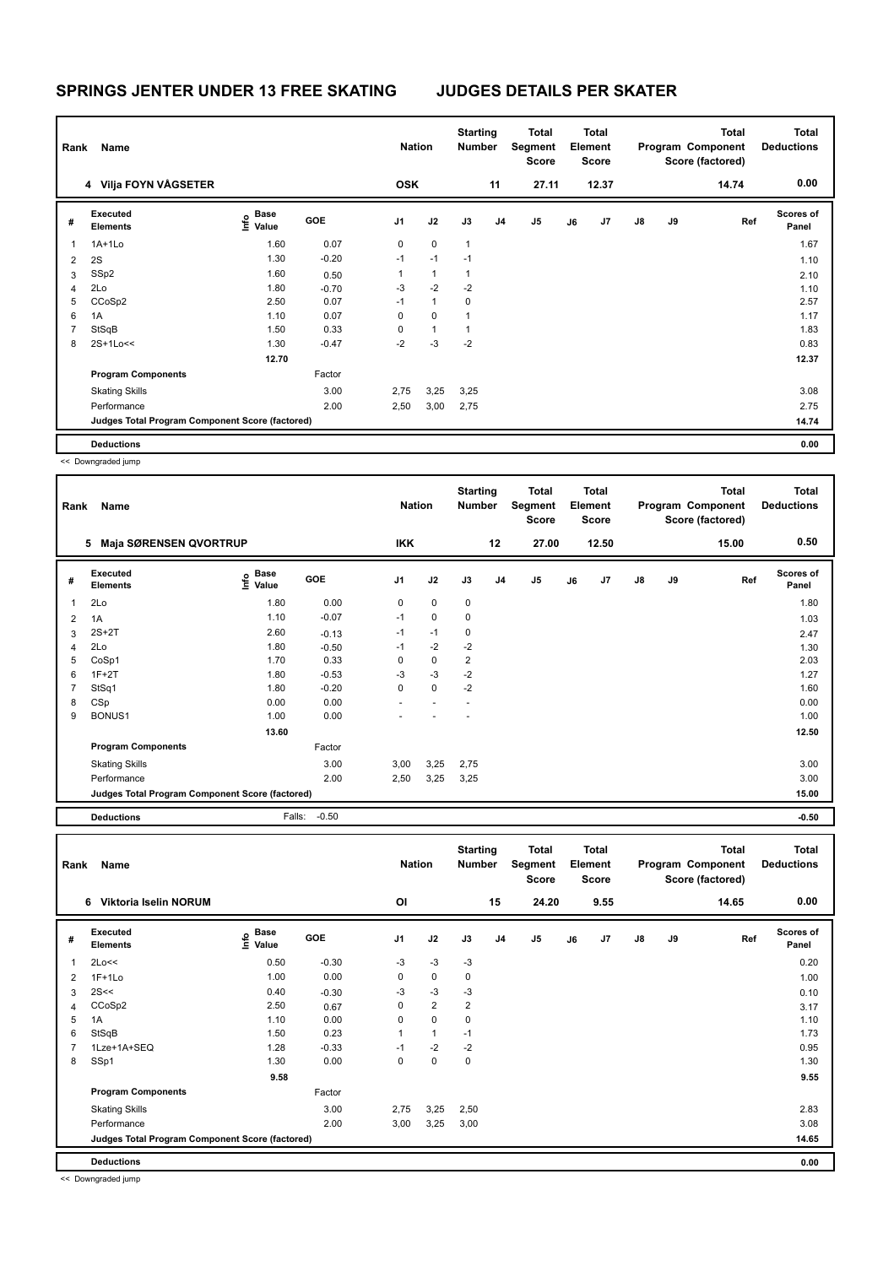| Rank           | Name                                            |                                  |            | <b>Nation</b> |              | <b>Starting</b><br><b>Number</b> |                | Total<br>Segment<br><b>Score</b> |    | <b>Total</b><br>Element<br>Score |               |    | Total<br>Program Component<br>Score (factored) | <b>Total</b><br><b>Deductions</b> |
|----------------|-------------------------------------------------|----------------------------------|------------|---------------|--------------|----------------------------------|----------------|----------------------------------|----|----------------------------------|---------------|----|------------------------------------------------|-----------------------------------|
|                | 4 Vilja FOYN VÅGSETER                           |                                  |            | <b>OSK</b>    |              |                                  | 11             | 27.11                            |    | 12.37                            |               |    | 14.74                                          | 0.00                              |
| #              | <b>Executed</b><br><b>Elements</b>              | <b>Base</b><br>e Base<br>⊆ Value | <b>GOE</b> | J1            | J2           | J3                               | J <sub>4</sub> | J <sub>5</sub>                   | J6 | J7                               | $\mathsf{J}8$ | J9 | Ref                                            | <b>Scores of</b><br>Panel         |
| 1              | $1A+1Lo$                                        | 1.60                             | 0.07       | 0             | $\mathbf 0$  | $\mathbf{1}$                     |                |                                  |    |                                  |               |    |                                                | 1.67                              |
| 2              | 2S                                              | 1.30                             | $-0.20$    | $-1$          | $-1$         | $-1$                             |                |                                  |    |                                  |               |    |                                                | 1.10                              |
| 3              | SSp2                                            | 1.60                             | 0.50       | 1             | $\mathbf{1}$ | 1                                |                |                                  |    |                                  |               |    |                                                | 2.10                              |
| 4              | 2Lo                                             | 1.80                             | $-0.70$    | $-3$          | $-2$         | $-2$                             |                |                                  |    |                                  |               |    |                                                | 1.10                              |
| 5              | CCoSp2                                          | 2.50                             | 0.07       | $-1$          | $\mathbf{1}$ | 0                                |                |                                  |    |                                  |               |    |                                                | 2.57                              |
| 6              | 1A                                              | 1.10                             | 0.07       | 0             | $\mathbf 0$  | $\mathbf{1}$                     |                |                                  |    |                                  |               |    |                                                | 1.17                              |
| $\overline{7}$ | StSqB                                           | 1.50                             | 0.33       | 0             | $\mathbf{1}$ | 1                                |                |                                  |    |                                  |               |    |                                                | 1.83                              |
| 8              | 2S+1Lo<<                                        | 1.30                             | $-0.47$    | $-2$          | $-3$         | $-2$                             |                |                                  |    |                                  |               |    |                                                | 0.83                              |
|                |                                                 | 12.70                            |            |               |              |                                  |                |                                  |    |                                  |               |    |                                                | 12.37                             |
|                | <b>Program Components</b>                       |                                  | Factor     |               |              |                                  |                |                                  |    |                                  |               |    |                                                |                                   |
|                | <b>Skating Skills</b>                           |                                  | 3.00       | 2,75          | 3,25         | 3,25                             |                |                                  |    |                                  |               |    |                                                | 3.08                              |
|                | Performance                                     |                                  | 2.00       | 2,50          | 3,00         | 2,75                             |                |                                  |    |                                  |               |    |                                                | 2.75                              |
|                | Judges Total Program Component Score (factored) |                                  |            |               |              |                                  |                |                                  |    |                                  |               |    |                                                | 14.74                             |
|                | <b>Deductions</b>                               |                                  |            |               |              |                                  |                |                                  |    |                                  |               |    |                                                | 0.00                              |

<< Downgraded jump

| Rank           | Name                                            |                              |            | <b>Nation</b> |             | <b>Starting</b><br><b>Number</b> |                | <b>Total</b><br>Segment<br><b>Score</b> |    | Total<br>Element<br><b>Score</b> |               |    | <b>Total</b><br>Program Component<br>Score (factored) | Total<br><b>Deductions</b> |
|----------------|-------------------------------------------------|------------------------------|------------|---------------|-------------|----------------------------------|----------------|-----------------------------------------|----|----------------------------------|---------------|----|-------------------------------------------------------|----------------------------|
|                | <b>Maja SØRENSEN QVORTRUP</b><br>5              |                              |            | <b>IKK</b>    |             |                                  | 12             | 27.00                                   |    | 12.50                            |               |    | 15.00                                                 | 0.50                       |
| #              | Executed<br><b>Elements</b>                     | <b>Base</b><br>lnfo<br>Value | <b>GOE</b> | J1            | J2          | J3                               | J <sub>4</sub> | J <sub>5</sub>                          | J6 | J <sub>7</sub>                   | $\mathsf{J}8$ | J9 | Ref                                                   | <b>Scores of</b><br>Panel  |
| $\mathbf{1}$   | 2Lo                                             | 1.80                         | 0.00       | 0             | $\mathbf 0$ | $\mathbf 0$                      |                |                                         |    |                                  |               |    |                                                       | 1.80                       |
| 2              | 1A                                              | 1.10                         | $-0.07$    | $-1$          | $\mathbf 0$ | $\mathbf 0$                      |                |                                         |    |                                  |               |    |                                                       | 1.03                       |
| 3              | $2S+2T$                                         | 2.60                         | $-0.13$    | $-1$          | $-1$        | $\mathbf 0$                      |                |                                         |    |                                  |               |    |                                                       | 2.47                       |
| $\overline{4}$ | 2Lo                                             | 1.80                         | $-0.50$    | $-1$          | $-2$        | $-2$                             |                |                                         |    |                                  |               |    |                                                       | 1.30                       |
| 5              | CoSp1                                           | 1.70                         | 0.33       | 0             | 0           | $\overline{2}$                   |                |                                         |    |                                  |               |    |                                                       | 2.03                       |
| 6              | $1F+2T$                                         | 1.80                         | $-0.53$    | $-3$          | $-3$        | $-2$                             |                |                                         |    |                                  |               |    |                                                       | 1.27                       |
| $\overline{7}$ | StSq1                                           | 1.80                         | $-0.20$    | 0             | $\mathbf 0$ | $-2$                             |                |                                         |    |                                  |               |    |                                                       | 1.60                       |
| 8              | CSp                                             | 0.00                         | 0.00       |               |             |                                  |                |                                         |    |                                  |               |    |                                                       | 0.00                       |
| 9              | BONUS1                                          | 1.00                         | 0.00       |               |             |                                  |                |                                         |    |                                  |               |    |                                                       | 1.00                       |
|                |                                                 | 13.60                        |            |               |             |                                  |                |                                         |    |                                  |               |    |                                                       | 12.50                      |
|                | <b>Program Components</b>                       |                              | Factor     |               |             |                                  |                |                                         |    |                                  |               |    |                                                       |                            |
|                | <b>Skating Skills</b>                           |                              | 3.00       | 3,00          | 3,25        | 2,75                             |                |                                         |    |                                  |               |    |                                                       | 3.00                       |
|                | Performance                                     |                              | 2.00       | 2,50          | 3,25        | 3,25                             |                |                                         |    |                                  |               |    |                                                       | 3.00                       |
|                | Judges Total Program Component Score (factored) |                              |            |               |             |                                  |                |                                         |    |                                  |               |    |                                                       | 15.00                      |
|                | <b>Deductions</b>                               | Falls:                       | $-0.50$    |               |             |                                  |                |                                         |    |                                  |               |    |                                                       | $-0.50$                    |

| Rank | <b>Name</b>                                     |                                  |            | <b>Nation</b> |                | <b>Starting</b><br><b>Number</b> |                | <b>Total</b><br>Segment<br><b>Score</b> |    | Total<br>Element<br><b>Score</b> |               |    | <b>Total</b><br>Program Component<br>Score (factored) | <b>Total</b><br><b>Deductions</b> |
|------|-------------------------------------------------|----------------------------------|------------|---------------|----------------|----------------------------------|----------------|-----------------------------------------|----|----------------------------------|---------------|----|-------------------------------------------------------|-----------------------------------|
|      | 6 Viktoria Iselin NORUM                         |                                  |            | OI            |                |                                  | 15             | 24.20                                   |    | 9.55                             |               |    | 14.65                                                 | 0.00                              |
| #    | Executed<br><b>Elements</b>                     | <b>Base</b><br>e Base<br>⊆ Value | <b>GOE</b> | J1            | J2             | J3                               | J <sub>4</sub> | J <sub>5</sub>                          | J6 | J7                               | $\mathsf{J}8$ | J9 | Ref                                                   | <b>Scores of</b><br>Panel         |
| 1    | 2Lo<<                                           | 0.50                             | $-0.30$    | $-3$          | $-3$           | $-3$                             |                |                                         |    |                                  |               |    |                                                       | 0.20                              |
| 2    | $1F+1Lo$                                        | 1.00                             | 0.00       | 0             | 0              | $\mathbf 0$                      |                |                                         |    |                                  |               |    |                                                       | 1.00                              |
| 3    | 2S<<                                            | 0.40                             | $-0.30$    | $-3$          | $-3$           | $-3$                             |                |                                         |    |                                  |               |    |                                                       | 0.10                              |
| 4    | CCoSp2                                          | 2.50                             | 0.67       | 0             | $\overline{2}$ | $\overline{2}$                   |                |                                         |    |                                  |               |    |                                                       | 3.17                              |
| 5    | 1A                                              | 1.10                             | 0.00       | 0             | $\mathbf 0$    | 0                                |                |                                         |    |                                  |               |    |                                                       | 1.10                              |
| 6    | StSqB                                           | 1.50                             | 0.23       | 1             | $\mathbf{1}$   | $-1$                             |                |                                         |    |                                  |               |    |                                                       | 1.73                              |
| 7    | 1Lze+1A+SEQ                                     | 1.28                             | $-0.33$    | $-1$          | $-2$           | $-2$                             |                |                                         |    |                                  |               |    |                                                       | 0.95                              |
| 8    | SSp1                                            | 1.30                             | 0.00       | 0             | $\mathbf 0$    | 0                                |                |                                         |    |                                  |               |    |                                                       | 1.30                              |
|      |                                                 | 9.58                             |            |               |                |                                  |                |                                         |    |                                  |               |    |                                                       | 9.55                              |
|      | <b>Program Components</b>                       |                                  | Factor     |               |                |                                  |                |                                         |    |                                  |               |    |                                                       |                                   |
|      | <b>Skating Skills</b>                           |                                  | 3.00       | 2,75          | 3,25           | 2,50                             |                |                                         |    |                                  |               |    |                                                       | 2.83                              |
|      | Performance                                     |                                  | 2.00       | 3,00          | 3,25           | 3,00                             |                |                                         |    |                                  |               |    |                                                       | 3.08                              |
|      | Judges Total Program Component Score (factored) |                                  |            |               |                |                                  |                |                                         |    |                                  |               |    |                                                       | 14.65                             |
|      | <b>Deductions</b>                               |                                  |            |               |                |                                  |                |                                         |    |                                  |               |    |                                                       | 0.00                              |

<< Downgraded jump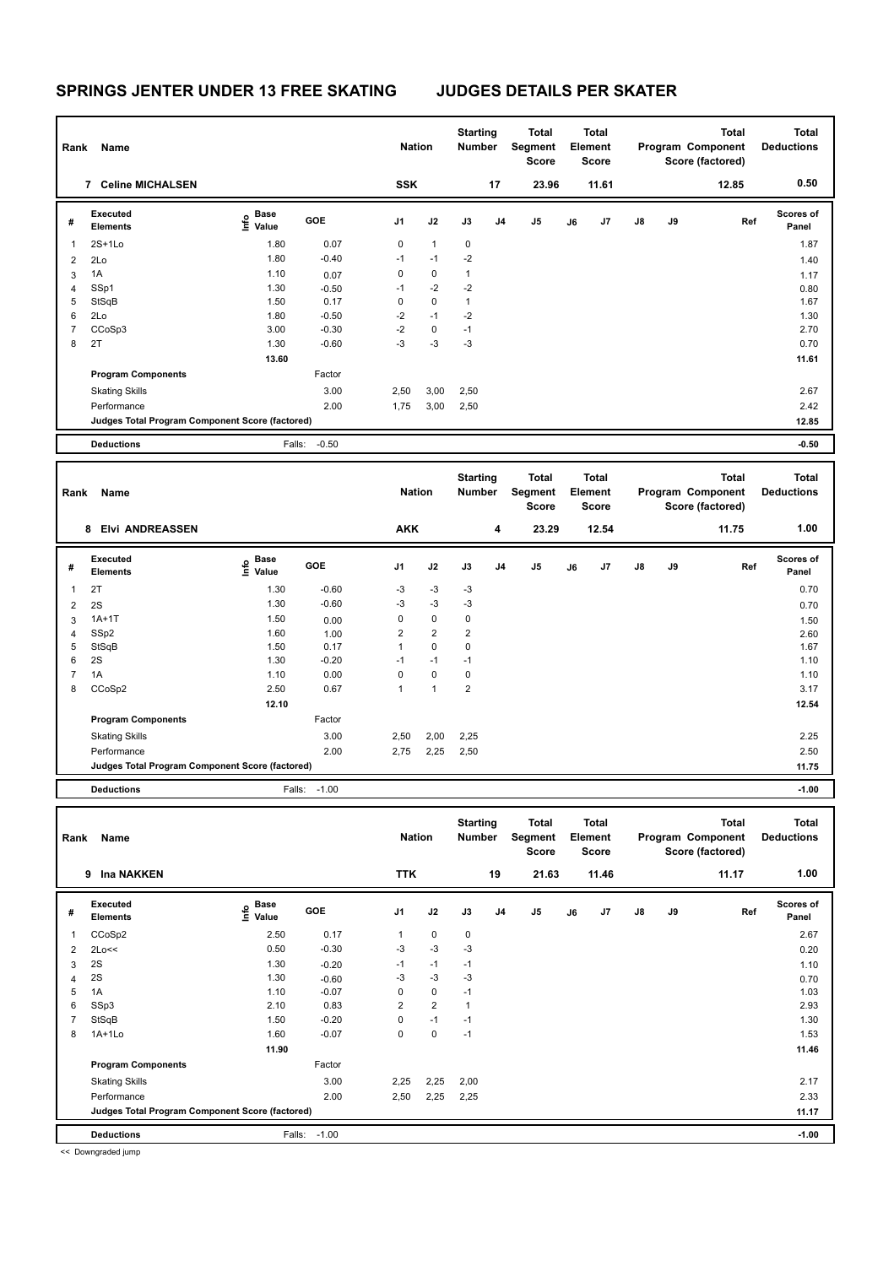| Rank           | Name                                            |                                  |            | <b>Nation</b> |              | <b>Starting</b><br><b>Number</b> |                | <b>Total</b><br>Segment<br><b>Score</b> |    | <b>Total</b><br>Element<br><b>Score</b> |               |           | <b>Total</b><br>Program Component<br>Score (factored) | <b>Total</b><br><b>Deductions</b> |
|----------------|-------------------------------------------------|----------------------------------|------------|---------------|--------------|----------------------------------|----------------|-----------------------------------------|----|-----------------------------------------|---------------|-----------|-------------------------------------------------------|-----------------------------------|
|                | <b>Celine MICHALSEN</b><br>7                    |                                  |            | <b>SSK</b>    |              |                                  | 17             | 23.96                                   |    | 11.61                                   |               |           | 12.85                                                 | 0.50                              |
| #              | <b>Executed</b><br><b>Elements</b>              | <b>Base</b><br>e Base<br>⊆ Value | <b>GOE</b> | J1            | J2           | J3                               | J <sub>4</sub> | J <sub>5</sub>                          | J6 | J7                                      | $\mathsf{J}8$ | <b>J9</b> | Ref                                                   | Scores of<br>Panel                |
| 1              | $2S+1Lo$                                        | 1.80                             | 0.07       | $\mathbf 0$   | $\mathbf{1}$ | $\mathbf 0$                      |                |                                         |    |                                         |               |           |                                                       | 1.87                              |
| 2              | 2Lo                                             | 1.80                             | $-0.40$    | $-1$          | $-1$         | $-2$                             |                |                                         |    |                                         |               |           |                                                       | 1.40                              |
| 3              | 1A                                              | 1.10                             | 0.07       | 0             | $\mathbf 0$  | 1                                |                |                                         |    |                                         |               |           |                                                       | 1.17                              |
| 4              | SSp1                                            | 1.30                             | $-0.50$    | $-1$          | $-2$         | $-2$                             |                |                                         |    |                                         |               |           |                                                       | 0.80                              |
| 5              | StSqB                                           | 1.50                             | 0.17       | 0             | $\mathbf 0$  | $\mathbf{1}$                     |                |                                         |    |                                         |               |           |                                                       | 1.67                              |
| 6              | 2Lo                                             | 1.80                             | $-0.50$    | $-2$          | $-1$         | $-2$                             |                |                                         |    |                                         |               |           |                                                       | 1.30                              |
| $\overline{7}$ | CCoSp3                                          | 3.00                             | $-0.30$    | $-2$          | 0            | $-1$                             |                |                                         |    |                                         |               |           |                                                       | 2.70                              |
| 8              | 2T                                              | 1.30                             | $-0.60$    | -3            | $-3$         | $-3$                             |                |                                         |    |                                         |               |           |                                                       | 0.70                              |
|                |                                                 | 13.60                            |            |               |              |                                  |                |                                         |    |                                         |               |           |                                                       | 11.61                             |
|                | <b>Program Components</b>                       |                                  | Factor     |               |              |                                  |                |                                         |    |                                         |               |           |                                                       |                                   |
|                | <b>Skating Skills</b>                           |                                  | 3.00       | 2,50          | 3,00         | 2,50                             |                |                                         |    |                                         |               |           |                                                       | 2.67                              |
|                | Performance                                     |                                  | 2.00       | 1,75          | 3,00         | 2,50                             |                |                                         |    |                                         |               |           |                                                       | 2.42                              |
|                | Judges Total Program Component Score (factored) |                                  |            |               |              |                                  |                |                                         |    |                                         |               |           |                                                       | 12.85                             |
|                | <b>Deductions</b>                               | Falls:                           | $-0.50$    |               |              |                                  |                |                                         |    |                                         |               |           |                                                       | $-0.50$                           |

| Rank | Name                                            |                                  |         | <b>Nation</b>  |                | <b>Starting</b><br>Number |    | <b>Total</b><br>Segment<br><b>Score</b> |    | <b>Total</b><br>Element<br><b>Score</b> |               |    | <b>Total</b><br>Program Component<br>Score (factored) | <b>Total</b><br><b>Deductions</b> |
|------|-------------------------------------------------|----------------------------------|---------|----------------|----------------|---------------------------|----|-----------------------------------------|----|-----------------------------------------|---------------|----|-------------------------------------------------------|-----------------------------------|
|      | <b>Elvi ANDREASSEN</b><br>8                     |                                  |         | <b>AKK</b>     |                |                           | 4  | 23.29                                   |    | 12.54                                   |               |    | 11.75                                                 | 1.00                              |
| #    | Executed<br><b>Elements</b>                     | <b>Base</b><br>e Base<br>E Value | GOE     | J <sub>1</sub> | J2             | J3                        | J4 | J5                                      | J6 | J7                                      | $\mathsf{J}8$ | J9 | Ref                                                   | <b>Scores of</b><br>Panel         |
| 1    | 2T                                              | 1.30                             | $-0.60$ | $-3$           | $-3$           | $-3$                      |    |                                         |    |                                         |               |    |                                                       | 0.70                              |
| 2    | 2S                                              | 1.30                             | $-0.60$ | $-3$           | $-3$           | $-3$                      |    |                                         |    |                                         |               |    |                                                       | 0.70                              |
| 3    | $1A+1T$                                         | 1.50                             | 0.00    | 0              | $\mathbf 0$    | 0                         |    |                                         |    |                                         |               |    |                                                       | 1.50                              |
| 4    | SSp2                                            | 1.60                             | 1.00    | $\overline{2}$ | $\overline{2}$ | 2                         |    |                                         |    |                                         |               |    |                                                       | 2.60                              |
| 5    | StSqB                                           | 1.50                             | 0.17    | $\mathbf{1}$   | $\mathbf 0$    | 0                         |    |                                         |    |                                         |               |    |                                                       | 1.67                              |
| 6    | 2S                                              | 1.30                             | $-0.20$ | $-1$           | $-1$           | $-1$                      |    |                                         |    |                                         |               |    |                                                       | 1.10                              |
| 7    | 1A                                              | 1.10                             | 0.00    | 0              | $\mathbf 0$    | 0                         |    |                                         |    |                                         |               |    |                                                       | 1.10                              |
| 8    | CCoSp2                                          | 2.50                             | 0.67    | 1              | $\mathbf{1}$   | $\overline{2}$            |    |                                         |    |                                         |               |    |                                                       | 3.17                              |
|      |                                                 | 12.10                            |         |                |                |                           |    |                                         |    |                                         |               |    |                                                       | 12.54                             |
|      | <b>Program Components</b>                       |                                  | Factor  |                |                |                           |    |                                         |    |                                         |               |    |                                                       |                                   |
|      | <b>Skating Skills</b>                           |                                  | 3.00    | 2,50           | 2,00           | 2,25                      |    |                                         |    |                                         |               |    |                                                       | 2.25                              |
|      | Performance                                     |                                  | 2.00    | 2,75           | 2,25           | 2,50                      |    |                                         |    |                                         |               |    |                                                       | 2.50                              |
|      | Judges Total Program Component Score (factored) |                                  |         |                |                |                           |    |                                         |    |                                         |               |    |                                                       | 11.75                             |
|      | <b>Deductions</b>                               | Falls:                           | $-1.00$ |                |                |                           |    |                                         |    |                                         |               |    |                                                       | $-1.00$                           |

| Rank           | Name                                            |                           |         | <b>Nation</b>  |                | <b>Starting</b><br>Number |                | Total<br>Segment<br><b>Score</b> |    | <b>Total</b><br>Element<br><b>Score</b> |               |    | <b>Total</b><br>Program Component<br>Score (factored) | <b>Total</b><br><b>Deductions</b> |
|----------------|-------------------------------------------------|---------------------------|---------|----------------|----------------|---------------------------|----------------|----------------------------------|----|-----------------------------------------|---------------|----|-------------------------------------------------------|-----------------------------------|
|                | <b>Ina NAKKEN</b><br>9                          |                           |         | <b>TTK</b>     |                |                           | 19             | 21.63                            |    | 11.46                                   |               |    | 11.17                                                 | 1.00                              |
| #              | Executed<br><b>Elements</b>                     | Base<br>e Base<br>⊆ Value | GOE     | J1             | J2             | J3                        | J <sub>4</sub> | J5                               | J6 | J7                                      | $\mathsf{J}8$ | J9 | Ref                                                   | <b>Scores of</b><br>Panel         |
|                | CCoSp2                                          | 2.50                      | 0.17    | $\mathbf{1}$   | $\mathbf 0$    | $\mathbf 0$               |                |                                  |    |                                         |               |    |                                                       | 2.67                              |
| 2              | 2Lo<<                                           | 0.50                      | $-0.30$ | $-3$           | $-3$           | $-3$                      |                |                                  |    |                                         |               |    |                                                       | 0.20                              |
| 3              | 2S                                              | 1.30                      | $-0.20$ | $-1$           | $-1$           | $-1$                      |                |                                  |    |                                         |               |    |                                                       | 1.10                              |
| $\overline{4}$ | 2S                                              | 1.30                      | $-0.60$ | $-3$           | $-3$           | $-3$                      |                |                                  |    |                                         |               |    |                                                       | 0.70                              |
| 5              | 1A                                              | 1.10                      | $-0.07$ | 0              | 0              | $-1$                      |                |                                  |    |                                         |               |    |                                                       | 1.03                              |
| 6              | SSp3                                            | 2.10                      | 0.83    | $\overline{2}$ | $\overline{2}$ | $\mathbf{1}$              |                |                                  |    |                                         |               |    |                                                       | 2.93                              |
| 7              | StSqB                                           | 1.50                      | $-0.20$ | 0              | $-1$           | $-1$                      |                |                                  |    |                                         |               |    |                                                       | 1.30                              |
| 8              | 1A+1Lo                                          | 1.60                      | $-0.07$ | 0              | 0              | $-1$                      |                |                                  |    |                                         |               |    |                                                       | 1.53                              |
|                |                                                 | 11.90                     |         |                |                |                           |                |                                  |    |                                         |               |    |                                                       | 11.46                             |
|                | <b>Program Components</b>                       |                           | Factor  |                |                |                           |                |                                  |    |                                         |               |    |                                                       |                                   |
|                | <b>Skating Skills</b>                           |                           | 3.00    | 2,25           | 2,25           | 2,00                      |                |                                  |    |                                         |               |    |                                                       | 2.17                              |
|                | Performance                                     |                           | 2.00    | 2,50           | 2,25           | 2,25                      |                |                                  |    |                                         |               |    |                                                       | 2.33                              |
|                | Judges Total Program Component Score (factored) |                           |         |                |                |                           |                |                                  |    |                                         |               |    |                                                       | 11.17                             |
|                | <b>Deductions</b>                               | Falls:                    | $-1.00$ |                |                |                           |                |                                  |    |                                         |               |    |                                                       | $-1.00$                           |
|                | $\cdots$                                        |                           |         |                |                |                           |                |                                  |    |                                         |               |    |                                                       |                                   |

<< Downgraded jump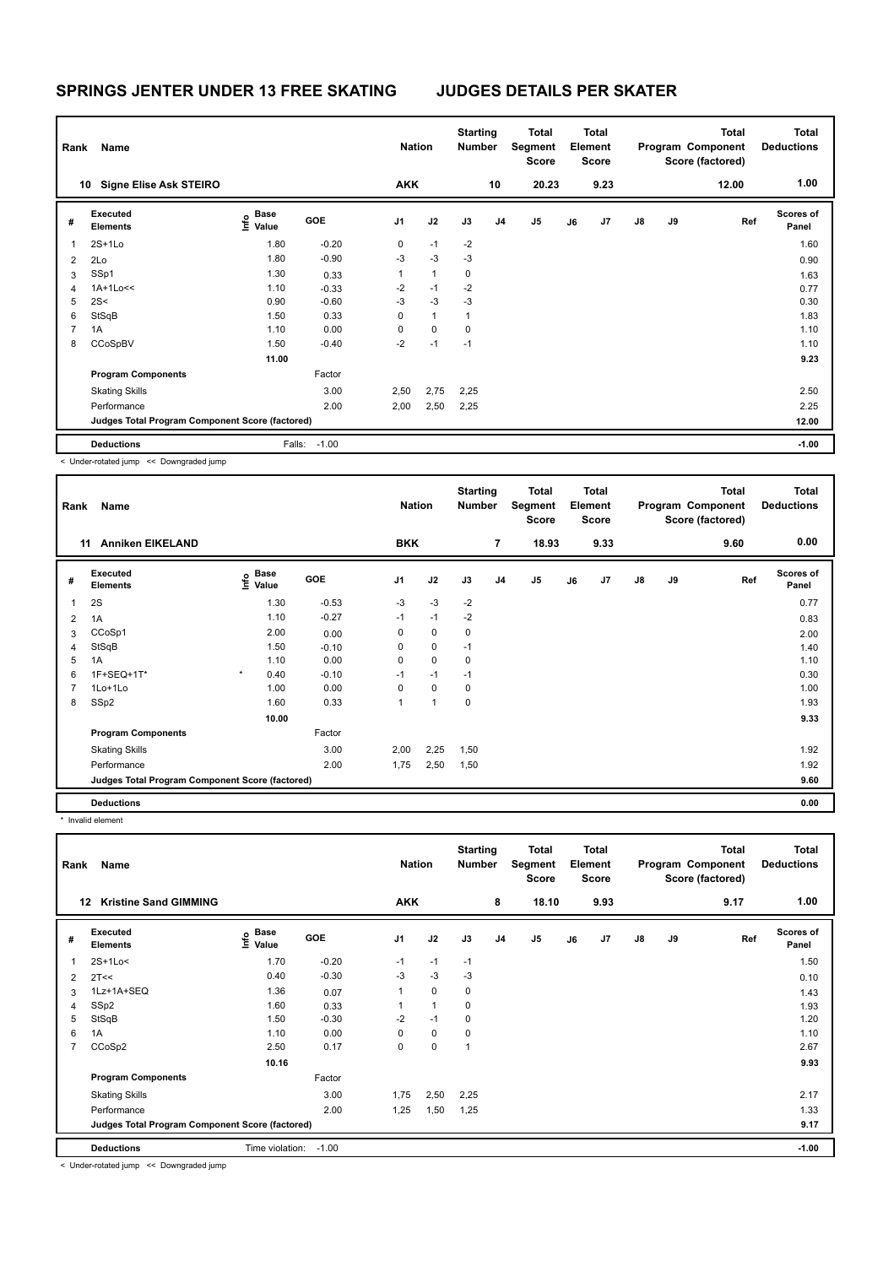| Rank | Name                                            |                           |            | <b>Nation</b> |              | <b>Starting</b><br><b>Number</b> |                | Total<br>Segment<br><b>Score</b> |    | <b>Total</b><br>Element<br>Score |               |    | <b>Total</b><br>Program Component<br>Score (factored) | <b>Total</b><br><b>Deductions</b> |
|------|-------------------------------------------------|---------------------------|------------|---------------|--------------|----------------------------------|----------------|----------------------------------|----|----------------------------------|---------------|----|-------------------------------------------------------|-----------------------------------|
|      | <b>Signe Elise Ask STEIRO</b><br>10             |                           |            | <b>AKK</b>    |              |                                  | 10             | 20.23                            |    | 9.23                             |               |    | 12.00                                                 | 1.00                              |
| #    | Executed<br><b>Elements</b>                     | Base<br>e Base<br>⊆ Value | <b>GOE</b> | J1            | J2           | J3                               | J <sub>4</sub> | J5                               | J6 | J7                               | $\mathsf{J}8$ | J9 | Ref                                                   | <b>Scores of</b><br>Panel         |
| 1    | $2S+1Lo$                                        | 1.80                      | $-0.20$    | 0             | $-1$         | $-2$                             |                |                                  |    |                                  |               |    |                                                       | 1.60                              |
| 2    | 2Lo                                             | 1.80                      | $-0.90$    | $-3$          | $-3$         | $-3$                             |                |                                  |    |                                  |               |    |                                                       | 0.90                              |
| 3    | SSp1                                            | 1.30                      | 0.33       | $\mathbf{1}$  | $\mathbf{1}$ | $\mathbf 0$                      |                |                                  |    |                                  |               |    |                                                       | 1.63                              |
| 4    | 1A+1Lo<<                                        | 1.10                      | $-0.33$    | $-2$          | $-1$         | $-2$                             |                |                                  |    |                                  |               |    |                                                       | 0.77                              |
| 5    | 2S<                                             | 0.90                      | $-0.60$    | $-3$          | $-3$         | $-3$                             |                |                                  |    |                                  |               |    |                                                       | 0.30                              |
| 6    | StSqB                                           | 1.50                      | 0.33       | 0             | $\mathbf{1}$ | 1                                |                |                                  |    |                                  |               |    |                                                       | 1.83                              |
| 7    | 1A                                              | 1.10                      | 0.00       | $\mathbf 0$   | $\mathbf 0$  | $\mathbf 0$                      |                |                                  |    |                                  |               |    |                                                       | 1.10                              |
| 8    | CCoSpBV                                         | 1.50                      | $-0.40$    | $-2$          | $-1$         | $-1$                             |                |                                  |    |                                  |               |    |                                                       | 1.10                              |
|      |                                                 | 11.00                     |            |               |              |                                  |                |                                  |    |                                  |               |    |                                                       | 9.23                              |
|      | <b>Program Components</b>                       |                           | Factor     |               |              |                                  |                |                                  |    |                                  |               |    |                                                       |                                   |
|      | <b>Skating Skills</b>                           |                           | 3.00       | 2,50          | 2,75         | 2,25                             |                |                                  |    |                                  |               |    |                                                       | 2.50                              |
|      | Performance                                     |                           | 2.00       | 2,00          | 2,50         | 2,25                             |                |                                  |    |                                  |               |    |                                                       | 2.25                              |
|      | Judges Total Program Component Score (factored) |                           |            |               |              |                                  |                |                                  |    |                                  |               |    |                                                       | 12.00                             |
|      | <b>Deductions</b>                               | Falls:                    | $-1.00$    |               |              |                                  |                |                                  |    |                                  |               |    |                                                       | $-1.00$                           |

< Under-rotated jump << Downgraded jump

| Rank | Name                                            |                           |            | <b>Nation</b> |                | <b>Starting</b><br>Number |    | <b>Total</b><br>Segment<br><b>Score</b> |    | Total<br>Element<br><b>Score</b> |               |    | <b>Total</b><br>Program Component<br>Score (factored) | Total<br><b>Deductions</b> |
|------|-------------------------------------------------|---------------------------|------------|---------------|----------------|---------------------------|----|-----------------------------------------|----|----------------------------------|---------------|----|-------------------------------------------------------|----------------------------|
|      | <b>Anniken EIKELAND</b><br>11                   |                           |            | <b>BKK</b>    |                |                           | 7  | 18.93                                   |    | 9.33                             |               |    | 9.60                                                  | 0.00                       |
| #    | Executed<br><b>Elements</b>                     | Base<br>e Base<br>E Value | <b>GOE</b> | J1            | J2             | J3                        | J4 | J <sub>5</sub>                          | J6 | J7                               | $\mathsf{J}8$ | J9 | Ref                                                   | <b>Scores of</b><br>Panel  |
| 1    | 2S                                              | 1.30                      | $-0.53$    | $-3$          | $-3$           | $-2$                      |    |                                         |    |                                  |               |    |                                                       | 0.77                       |
| 2    | 1A                                              | 1.10                      | $-0.27$    | $-1$          | $-1$           | $-2$                      |    |                                         |    |                                  |               |    |                                                       | 0.83                       |
| 3    | CCoSp1                                          | 2.00                      | 0.00       | 0             | $\mathbf 0$    | 0                         |    |                                         |    |                                  |               |    |                                                       | 2.00                       |
| 4    | StSqB                                           | 1.50                      | $-0.10$    | 0             | $\mathbf 0$    | $-1$                      |    |                                         |    |                                  |               |    |                                                       | 1.40                       |
| 5    | 1A                                              | 1.10                      | 0.00       | 0             | $\pmb{0}$      | 0                         |    |                                         |    |                                  |               |    |                                                       | 1.10                       |
| 6    | 1F+SEQ+1T*                                      | $\star$<br>0.40           | $-0.10$    | $-1$          | $-1$           | $-1$                      |    |                                         |    |                                  |               |    |                                                       | 0.30                       |
| 7    | $1$ Lo $+1$ Lo                                  | 1.00                      | 0.00       | 0             | $\mathbf 0$    | 0                         |    |                                         |    |                                  |               |    |                                                       | 1.00                       |
| 8    | SSp2                                            | 1.60                      | 0.33       | 1             | $\overline{1}$ | 0                         |    |                                         |    |                                  |               |    |                                                       | 1.93                       |
|      |                                                 | 10.00                     |            |               |                |                           |    |                                         |    |                                  |               |    |                                                       | 9.33                       |
|      | <b>Program Components</b>                       |                           | Factor     |               |                |                           |    |                                         |    |                                  |               |    |                                                       |                            |
|      | <b>Skating Skills</b>                           |                           | 3.00       | 2,00          | 2,25           | 1,50                      |    |                                         |    |                                  |               |    |                                                       | 1.92                       |
|      | Performance                                     |                           | 2.00       | 1,75          | 2,50           | 1,50                      |    |                                         |    |                                  |               |    |                                                       | 1.92                       |
|      | Judges Total Program Component Score (factored) |                           |            |               |                |                           |    |                                         |    |                                  |               |    |                                                       | 9.60                       |
|      | <b>Deductions</b>                               |                           |            |               |                |                           |    |                                         |    |                                  |               |    |                                                       | 0.00                       |

\* Invalid element

| Rank           | Name                                            |                                  |            | <b>Nation</b>  |                | <b>Starting</b><br><b>Number</b> |                | Total<br>Segment<br>Score |    | <b>Total</b><br>Element<br>Score |    |    | <b>Total</b><br>Program Component<br>Score (factored) | <b>Total</b><br><b>Deductions</b> |
|----------------|-------------------------------------------------|----------------------------------|------------|----------------|----------------|----------------------------------|----------------|---------------------------|----|----------------------------------|----|----|-------------------------------------------------------|-----------------------------------|
| 12             | <b>Kristine Sand GIMMING</b>                    |                                  |            | <b>AKK</b>     |                |                                  | 8              | 18.10                     |    | 9.93                             |    |    | 9.17                                                  | 1.00                              |
| #              | Executed<br><b>Elements</b>                     | <b>Base</b><br>e Base<br>⊆ Value | <b>GOE</b> | J1             | J2             | J3                               | J <sub>4</sub> | J5                        | J6 | J7                               | J8 | J9 | Ref                                                   | <b>Scores of</b><br>Panel         |
| 1              | $2S+1Lo<$                                       | 1.70                             | $-0.20$    | $-1$           | $-1$           | $-1$                             |                |                           |    |                                  |    |    |                                                       | 1.50                              |
| 2              | 2T<<                                            | 0.40                             | $-0.30$    | $-3$           | $-3$           | $-3$                             |                |                           |    |                                  |    |    |                                                       | 0.10                              |
| 3              | 1Lz+1A+SEQ                                      | 1.36                             | 0.07       | $\overline{1}$ | $\mathbf 0$    | 0                                |                |                           |    |                                  |    |    |                                                       | 1.43                              |
| 4              | SSp2                                            | 1.60                             | 0.33       |                | $\overline{1}$ | 0                                |                |                           |    |                                  |    |    |                                                       | 1.93                              |
| 5              | StSqB                                           | 1.50                             | $-0.30$    | $-2$           | $-1$           | 0                                |                |                           |    |                                  |    |    |                                                       | 1.20                              |
| 6              | 1A                                              | 1.10                             | 0.00       | 0              | $\mathbf 0$    | 0                                |                |                           |    |                                  |    |    |                                                       | 1.10                              |
| $\overline{7}$ | CCoSp2                                          | 2.50                             | 0.17       | 0              | $\mathbf 0$    | 1                                |                |                           |    |                                  |    |    |                                                       | 2.67                              |
|                |                                                 | 10.16                            |            |                |                |                                  |                |                           |    |                                  |    |    |                                                       | 9.93                              |
|                | <b>Program Components</b>                       |                                  | Factor     |                |                |                                  |                |                           |    |                                  |    |    |                                                       |                                   |
|                | <b>Skating Skills</b>                           |                                  | 3.00       | 1,75           | 2,50           | 2,25                             |                |                           |    |                                  |    |    |                                                       | 2.17                              |
|                | Performance                                     |                                  | 2.00       | 1,25           | 1,50           | 1,25                             |                |                           |    |                                  |    |    |                                                       | 1.33                              |
|                | Judges Total Program Component Score (factored) |                                  |            |                |                |                                  |                |                           |    |                                  |    |    |                                                       | 9.17                              |
|                | <b>Deductions</b>                               | Time violation:                  | $-1.00$    |                |                |                                  |                |                           |    |                                  |    |    |                                                       | $-1.00$                           |

< Under-rotated jump << Downgraded jump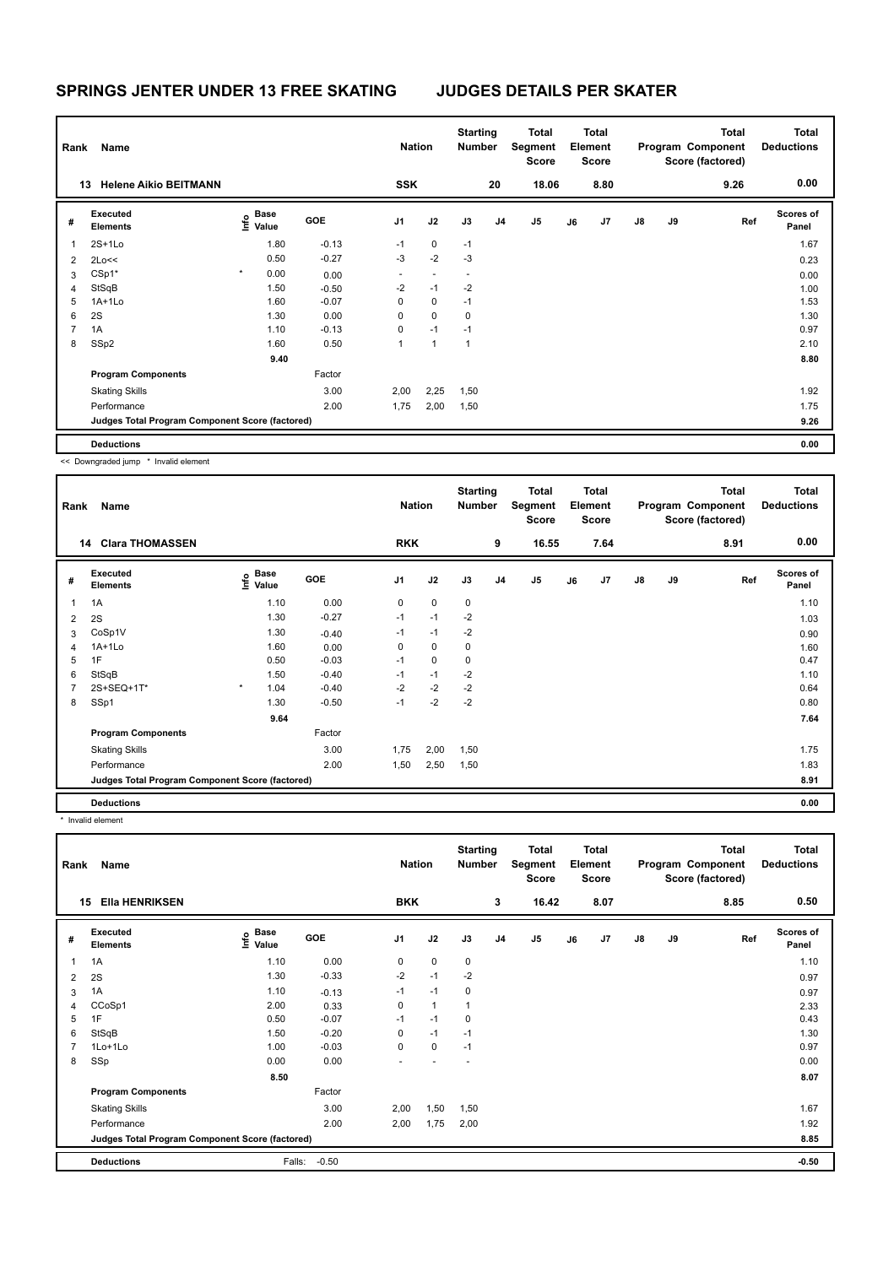| Rank | Name                                            |                           |      |            | <b>Nation</b> |                | <b>Starting</b><br>Number |                | <b>Total</b><br>Segment<br><b>Score</b> |    | <b>Total</b><br>Element<br>Score |               |    | <b>Total</b><br>Program Component<br>Score (factored) | <b>Total</b><br><b>Deductions</b> |
|------|-------------------------------------------------|---------------------------|------|------------|---------------|----------------|---------------------------|----------------|-----------------------------------------|----|----------------------------------|---------------|----|-------------------------------------------------------|-----------------------------------|
|      | <b>Helene Aikio BEITMANN</b><br>13              |                           |      |            | <b>SSK</b>    |                |                           | 20             | 18.06                                   |    | 8.80                             |               |    | 9.26                                                  | 0.00                              |
| #    | Executed<br><b>Elements</b>                     | Base<br>e Base<br>⊆ Value |      | <b>GOE</b> | J1            | J2             | J3                        | J <sub>4</sub> | J5                                      | J6 | J7                               | $\mathsf{J}8$ | J9 | Ref                                                   | <b>Scores of</b><br>Panel         |
|      | $2S+1Lo$                                        |                           | 1.80 | $-0.13$    | $-1$          | 0              | $-1$                      |                |                                         |    |                                  |               |    |                                                       | 1.67                              |
| 2    | 2Lo<<                                           |                           | 0.50 | $-0.27$    | $-3$          | $-2$           | $-3$                      |                |                                         |    |                                  |               |    |                                                       | 0.23                              |
| 3    | $CSp1*$                                         | $\star$                   | 0.00 | 0.00       | $\sim$        | $\blacksquare$ | $\overline{\phantom{a}}$  |                |                                         |    |                                  |               |    |                                                       | 0.00                              |
| 4    | StSqB                                           |                           | 1.50 | $-0.50$    | $-2$          | $-1$           | $-2$                      |                |                                         |    |                                  |               |    |                                                       | 1.00                              |
| 5    | $1A+1Lo$                                        |                           | 1.60 | $-0.07$    | $\mathbf 0$   | 0              | $-1$                      |                |                                         |    |                                  |               |    |                                                       | 1.53                              |
| 6    | 2S                                              |                           | 1.30 | 0.00       | 0             | 0              | 0                         |                |                                         |    |                                  |               |    |                                                       | 1.30                              |
| 7    | 1A                                              |                           | 1.10 | $-0.13$    | 0             | $-1$           | $-1$                      |                |                                         |    |                                  |               |    |                                                       | 0.97                              |
| 8    | SSp2                                            |                           | 1.60 | 0.50       | 1             | 1              | $\mathbf{1}$              |                |                                         |    |                                  |               |    |                                                       | 2.10                              |
|      |                                                 |                           | 9.40 |            |               |                |                           |                |                                         |    |                                  |               |    |                                                       | 8.80                              |
|      | <b>Program Components</b>                       |                           |      | Factor     |               |                |                           |                |                                         |    |                                  |               |    |                                                       |                                   |
|      | <b>Skating Skills</b>                           |                           |      | 3.00       | 2,00          | 2,25           | 1,50                      |                |                                         |    |                                  |               |    |                                                       | 1.92                              |
|      | Performance                                     |                           |      | 2.00       | 1,75          | 2,00           | 1,50                      |                |                                         |    |                                  |               |    |                                                       | 1.75                              |
|      | Judges Total Program Component Score (factored) |                           |      |            |               |                |                           |                |                                         |    |                                  |               |    |                                                       | 9.26                              |
|      | <b>Deductions</b>                               |                           |      |            |               |                |                           |                |                                         |    |                                  |               |    |                                                       | 0.00                              |

<< Downgraded jump \* Invalid element

| Rank | Name                                            |                                  |            | <b>Nation</b>  |             | <b>Starting</b><br><b>Number</b> |                | Total<br>Segment<br><b>Score</b> |    | <b>Total</b><br>Element<br><b>Score</b> |               |    | <b>Total</b><br>Program Component<br>Score (factored) | Total<br><b>Deductions</b> |
|------|-------------------------------------------------|----------------------------------|------------|----------------|-------------|----------------------------------|----------------|----------------------------------|----|-----------------------------------------|---------------|----|-------------------------------------------------------|----------------------------|
|      | <b>Clara THOMASSEN</b><br>14                    |                                  |            | <b>RKK</b>     |             |                                  | 9              | 16.55                            |    | 7.64                                    |               |    | 8.91                                                  | 0.00                       |
| #    | Executed<br><b>Elements</b>                     | <b>Base</b><br>e Base<br>⊆ Value | <b>GOE</b> | J <sub>1</sub> | J2          | J3                               | J <sub>4</sub> | J <sub>5</sub>                   | J6 | J7                                      | $\mathsf{J}8$ | J9 | Ref                                                   | <b>Scores of</b><br>Panel  |
| 1    | 1A                                              | 1.10                             | 0.00       | 0              | $\mathbf 0$ | 0                                |                |                                  |    |                                         |               |    |                                                       | 1.10                       |
| 2    | 2S                                              | 1.30                             | $-0.27$    | $-1$           | $-1$        | $-2$                             |                |                                  |    |                                         |               |    |                                                       | 1.03                       |
| 3    | CoSp1V                                          | 1.30                             | $-0.40$    | $-1$           | $-1$        | $-2$                             |                |                                  |    |                                         |               |    |                                                       | 0.90                       |
| 4    | $1A+1Lo$                                        | 1.60                             | 0.00       | 0              | $\mathbf 0$ | $\mathbf 0$                      |                |                                  |    |                                         |               |    |                                                       | 1.60                       |
| 5    | 1F                                              | 0.50                             | $-0.03$    | $-1$           | 0           | 0                                |                |                                  |    |                                         |               |    |                                                       | 0.47                       |
| 6    | StSqB                                           | 1.50                             | $-0.40$    | $-1$           | $-1$        | $-2$                             |                |                                  |    |                                         |               |    |                                                       | 1.10                       |
| 7    | 2S+SEQ+1T*                                      | $\star$<br>1.04                  | $-0.40$    | $-2$           | $-2$        | $-2$                             |                |                                  |    |                                         |               |    |                                                       | 0.64                       |
| 8    | SSp1                                            | 1.30                             | $-0.50$    | $-1$           | $-2$        | $-2$                             |                |                                  |    |                                         |               |    |                                                       | 0.80                       |
|      |                                                 | 9.64                             |            |                |             |                                  |                |                                  |    |                                         |               |    |                                                       | 7.64                       |
|      | <b>Program Components</b>                       |                                  | Factor     |                |             |                                  |                |                                  |    |                                         |               |    |                                                       |                            |
|      | <b>Skating Skills</b>                           |                                  | 3.00       | 1,75           | 2,00        | 1,50                             |                |                                  |    |                                         |               |    |                                                       | 1.75                       |
|      | Performance                                     |                                  | 2.00       | 1,50           | 2,50        | 1,50                             |                |                                  |    |                                         |               |    |                                                       | 1.83                       |
|      | Judges Total Program Component Score (factored) |                                  |            |                |             |                                  |                |                                  |    |                                         |               |    |                                                       | 8.91                       |
|      | <b>Deductions</b>                               |                                  |            |                |             |                                  |                |                                  |    |                                         |               |    |                                                       | 0.00                       |

\* Invalid element

| Rank           | <b>Name</b>                                     |                              |            | <b>Nation</b>  |              | <b>Starting</b><br><b>Number</b> |                | Total<br>Segment<br><b>Score</b> |    | <b>Total</b><br>Element<br><b>Score</b> |               |    | <b>Total</b><br>Program Component<br>Score (factored) | <b>Total</b><br><b>Deductions</b> |
|----------------|-------------------------------------------------|------------------------------|------------|----------------|--------------|----------------------------------|----------------|----------------------------------|----|-----------------------------------------|---------------|----|-------------------------------------------------------|-----------------------------------|
| 15             | <b>Ella HENRIKSEN</b>                           |                              |            | <b>BKK</b>     |              |                                  | 3              | 16.42                            |    | 8.07                                    |               |    | 8.85                                                  | 0.50                              |
| #              | Executed<br><b>Elements</b>                     | <b>Base</b><br>lnfo<br>Value | <b>GOE</b> | J <sub>1</sub> | J2           | J3                               | J <sub>4</sub> | J <sub>5</sub>                   | J6 | J <sub>7</sub>                          | $\mathsf{J}8$ | J9 | Ref                                                   | <b>Scores of</b><br>Panel         |
| 1              | 1A                                              | 1.10                         | 0.00       | 0              | $\mathbf 0$  | $\pmb{0}$                        |                |                                  |    |                                         |               |    |                                                       | 1.10                              |
| 2              | 2S                                              | 1.30                         | $-0.33$    | $-2$           | $-1$         | $-2$                             |                |                                  |    |                                         |               |    |                                                       | 0.97                              |
| 3              | 1A                                              | 1.10                         | $-0.13$    | $-1$           | $-1$         | 0                                |                |                                  |    |                                         |               |    |                                                       | 0.97                              |
| 4              | CCoSp1                                          | 2.00                         | 0.33       | 0              | $\mathbf{1}$ | $\mathbf{1}$                     |                |                                  |    |                                         |               |    |                                                       | 2.33                              |
| 5              | 1F                                              | 0.50                         | $-0.07$    | $-1$           | $-1$         | 0                                |                |                                  |    |                                         |               |    |                                                       | 0.43                              |
| 6              | StSqB                                           | 1.50                         | $-0.20$    | 0              | $-1$         | $-1$                             |                |                                  |    |                                         |               |    |                                                       | 1.30                              |
| $\overline{7}$ | 1Lo+1Lo                                         | 1.00                         | $-0.03$    | 0              | $\mathbf 0$  | $-1$                             |                |                                  |    |                                         |               |    |                                                       | 0.97                              |
| 8              | SSp                                             | 0.00                         | 0.00       |                |              |                                  |                |                                  |    |                                         |               |    |                                                       | 0.00                              |
|                |                                                 | 8.50                         |            |                |              |                                  |                |                                  |    |                                         |               |    |                                                       | 8.07                              |
|                | <b>Program Components</b>                       |                              | Factor     |                |              |                                  |                |                                  |    |                                         |               |    |                                                       |                                   |
|                | <b>Skating Skills</b>                           |                              | 3.00       | 2,00           | 1,50         | 1,50                             |                |                                  |    |                                         |               |    |                                                       | 1.67                              |
|                | Performance                                     |                              | 2.00       | 2,00           | 1,75         | 2,00                             |                |                                  |    |                                         |               |    |                                                       | 1.92                              |
|                | Judges Total Program Component Score (factored) |                              |            |                |              |                                  |                |                                  |    |                                         |               |    |                                                       | 8.85                              |
|                | <b>Deductions</b>                               | Falls:                       | $-0.50$    |                |              |                                  |                |                                  |    |                                         |               |    |                                                       | $-0.50$                           |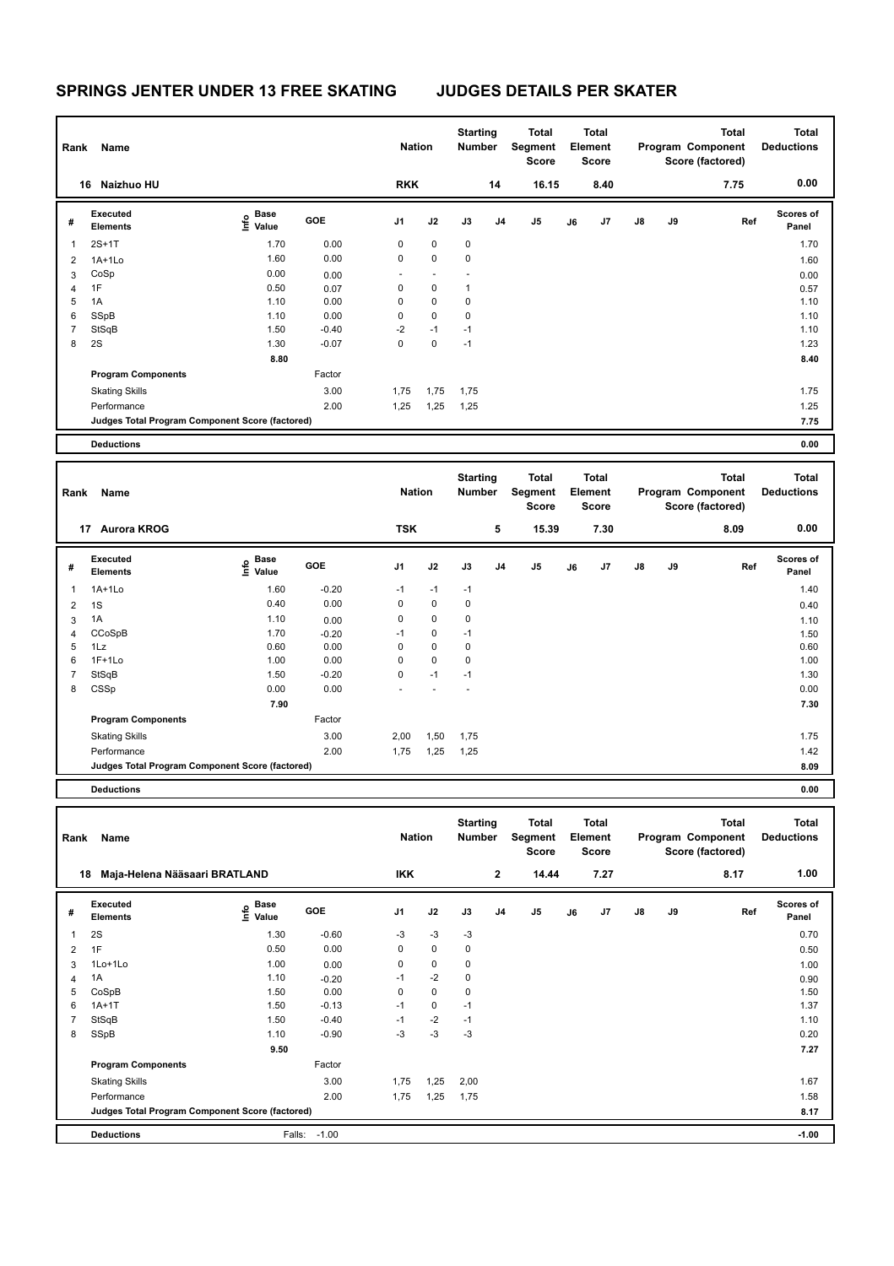| Rank           | Name                                            |                                           |         | <b>Nation</b>  |                          | <b>Starting</b><br><b>Number</b> |                | Total<br>Segment<br><b>Score</b> |    | <b>Total</b><br>Element<br>Score |               |           | <b>Total</b><br>Program Component<br>Score (factored) | <b>Total</b><br><b>Deductions</b> |
|----------------|-------------------------------------------------|-------------------------------------------|---------|----------------|--------------------------|----------------------------------|----------------|----------------------------------|----|----------------------------------|---------------|-----------|-------------------------------------------------------|-----------------------------------|
|                | Naizhuo HU<br>16                                |                                           |         | <b>RKK</b>     |                          |                                  | 14             | 16.15                            |    | 8.40                             |               |           | 7.75                                                  | 0.00                              |
| #              | <b>Executed</b><br><b>Elements</b>              | $\frac{e}{E}$ Base<br>$\frac{E}{E}$ Value | GOE     | J <sub>1</sub> | J2                       | J3                               | J <sub>4</sub> | J <sub>5</sub>                   | J6 | J7                               | $\mathsf{J}8$ | <b>J9</b> | Ref                                                   | Scores of<br>Panel                |
| 1              | $2S+1T$                                         | 1.70                                      | 0.00    | $\mathbf 0$    | 0                        | $\pmb{0}$                        |                |                                  |    |                                  |               |           |                                                       | 1.70                              |
| 2              | $1A+1Lo$                                        | 1.60                                      | 0.00    | 0              | 0                        | 0                                |                |                                  |    |                                  |               |           |                                                       | 1.60                              |
| 3              | CoSp                                            | 0.00                                      | 0.00    | $\sim$         | $\overline{\phantom{a}}$ |                                  |                |                                  |    |                                  |               |           |                                                       | 0.00                              |
| 4              | 1F                                              | 0.50                                      | 0.07    | 0              | $\pmb{0}$                | 1                                |                |                                  |    |                                  |               |           |                                                       | 0.57                              |
| 5              | 1A                                              | 1.10                                      | 0.00    | 0              | $\mathbf 0$              | $\mathbf 0$                      |                |                                  |    |                                  |               |           |                                                       | 1.10                              |
| 6              | SSpB                                            | 1.10                                      | 0.00    | 0              | $\mathbf 0$              | $\mathbf 0$                      |                |                                  |    |                                  |               |           |                                                       | 1.10                              |
| $\overline{7}$ | StSqB                                           | 1.50                                      | $-0.40$ | $-2$           | $-1$                     | $-1$                             |                |                                  |    |                                  |               |           |                                                       | 1.10                              |
| 8              | 2S                                              | 1.30                                      | $-0.07$ | $\mathbf 0$    | $\mathbf 0$              | $-1$                             |                |                                  |    |                                  |               |           |                                                       | 1.23                              |
|                |                                                 | 8.80                                      |         |                |                          |                                  |                |                                  |    |                                  |               |           |                                                       | 8.40                              |
|                | <b>Program Components</b>                       |                                           | Factor  |                |                          |                                  |                |                                  |    |                                  |               |           |                                                       |                                   |
|                | <b>Skating Skills</b>                           |                                           | 3.00    | 1,75           | 1,75                     | 1,75                             |                |                                  |    |                                  |               |           |                                                       | 1.75                              |
|                | Performance                                     |                                           | 2.00    | 1,25           | 1,25                     | 1,25                             |                |                                  |    |                                  |               |           |                                                       | 1.25                              |
|                | Judges Total Program Component Score (factored) |                                           |         |                |                          |                                  |                |                                  |    |                                  |               |           |                                                       | 7.75                              |
|                | <b>Deductions</b>                               |                                           |         |                |                          |                                  |                |                                  |    |                                  |               |           |                                                       | 0.00                              |

| Rank         | Name                                            |                                  |            | <b>Nation</b> |             | <b>Starting</b><br>Number |                | Total<br>Segment<br><b>Score</b> |    | <b>Total</b><br>Element<br>Score |               |    | <b>Total</b><br>Program Component<br>Score (factored) | <b>Total</b><br><b>Deductions</b> |
|--------------|-------------------------------------------------|----------------------------------|------------|---------------|-------------|---------------------------|----------------|----------------------------------|----|----------------------------------|---------------|----|-------------------------------------------------------|-----------------------------------|
|              | <b>Aurora KROG</b><br>17                        |                                  |            | <b>TSK</b>    |             |                           | 5              | 15.39                            |    | 7.30                             |               |    | 8.09                                                  | 0.00                              |
| #            | Executed<br><b>Elements</b>                     | <b>Base</b><br>e Base<br>⊆ Value | <b>GOE</b> | J1            | J2          | J3                        | J <sub>4</sub> | J <sub>5</sub>                   | J6 | J7                               | $\mathsf{J}8$ | J9 | Ref                                                   | <b>Scores of</b><br>Panel         |
| $\mathbf{1}$ | $1A+1Lo$                                        | 1.60                             | $-0.20$    | $-1$          | $-1$        | $-1$                      |                |                                  |    |                                  |               |    |                                                       | 1.40                              |
| 2            | 1S                                              | 0.40                             | 0.00       | 0             | $\mathbf 0$ | $\mathbf 0$               |                |                                  |    |                                  |               |    |                                                       | 0.40                              |
| 3            | 1A                                              | 1.10                             | 0.00       | 0             | $\mathbf 0$ | 0                         |                |                                  |    |                                  |               |    |                                                       | 1.10                              |
| 4            | CCoSpB                                          | 1.70                             | $-0.20$    | $-1$          | $\mathbf 0$ | $-1$                      |                |                                  |    |                                  |               |    |                                                       | 1.50                              |
| 5            | 1Lz                                             | 0.60                             | 0.00       | 0             | $\mathbf 0$ | 0                         |                |                                  |    |                                  |               |    |                                                       | 0.60                              |
| 6            | $1F+1Lo$                                        | 1.00                             | 0.00       | 0             | $\mathbf 0$ | $\mathbf 0$               |                |                                  |    |                                  |               |    |                                                       | 1.00                              |
| 7            | StSqB                                           | 1.50                             | $-0.20$    | 0             | $-1$        | $-1$                      |                |                                  |    |                                  |               |    |                                                       | 1.30                              |
| 8            | CSSp                                            | 0.00                             | 0.00       | ٠             |             | ÷                         |                |                                  |    |                                  |               |    |                                                       | 0.00                              |
|              |                                                 | 7.90                             |            |               |             |                           |                |                                  |    |                                  |               |    |                                                       | 7.30                              |
|              | <b>Program Components</b>                       |                                  | Factor     |               |             |                           |                |                                  |    |                                  |               |    |                                                       |                                   |
|              | <b>Skating Skills</b>                           |                                  | 3.00       | 2,00          | 1,50        | 1,75                      |                |                                  |    |                                  |               |    |                                                       | 1.75                              |
|              | Performance                                     |                                  | 2.00       | 1,75          | 1,25        | 1,25                      |                |                                  |    |                                  |               |    |                                                       | 1.42                              |
|              | Judges Total Program Component Score (factored) |                                  |            |               |             |                           |                |                                  |    |                                  |               |    |                                                       | 8.09                              |
|              | <b>Deductions</b>                               |                                  |            |               |             |                           |                |                                  |    |                                  |               |    |                                                       | 0.00                              |

| Rank           | Name                                            |                                  |         | <b>Nation</b> |           | <b>Starting</b><br>Number |                | Total<br>Segment<br><b>Score</b> |    | <b>Total</b><br>Element<br><b>Score</b> |               |    | Total<br>Program Component<br>Score (factored) | <b>Total</b><br><b>Deductions</b> |
|----------------|-------------------------------------------------|----------------------------------|---------|---------------|-----------|---------------------------|----------------|----------------------------------|----|-----------------------------------------|---------------|----|------------------------------------------------|-----------------------------------|
| 18             | Maja-Helena Nääsaari BRATLAND                   |                                  |         | <b>IKK</b>    |           |                           | $\mathbf{2}$   | 14.44                            |    | 7.27                                    |               |    | 8.17                                           | 1.00                              |
| #              | Executed<br><b>Elements</b>                     | <b>Base</b><br>e Base<br>⊆ Value | GOE     | J1            | J2        | J3                        | J <sub>4</sub> | J5                               | J6 | J7                                      | $\mathsf{J}8$ | J9 | Ref                                            | <b>Scores of</b><br>Panel         |
| $\mathbf{1}$   | 2S                                              | 1.30                             | $-0.60$ | $-3$          | $-3$      | $-3$                      |                |                                  |    |                                         |               |    |                                                | 0.70                              |
| $\overline{2}$ | 1F                                              | 0.50                             | 0.00    | 0             | 0         | $\pmb{0}$                 |                |                                  |    |                                         |               |    |                                                | 0.50                              |
| 3              | 1Lo+1Lo                                         | 1.00                             | 0.00    | $\mathbf 0$   | 0         | 0                         |                |                                  |    |                                         |               |    |                                                | 1.00                              |
| $\overline{4}$ | 1A                                              | 1.10                             | $-0.20$ | $-1$          | $-2$      | $\pmb{0}$                 |                |                                  |    |                                         |               |    |                                                | 0.90                              |
| 5              | CoSpB                                           | 1.50                             | 0.00    | 0             | $\pmb{0}$ | 0                         |                |                                  |    |                                         |               |    |                                                | 1.50                              |
| 6              | $1A+1T$                                         | 1.50                             | $-0.13$ | $-1$          | 0         | $-1$                      |                |                                  |    |                                         |               |    |                                                | 1.37                              |
| 7              | StSqB                                           | 1.50                             | $-0.40$ | $-1$          | $-2$      | $-1$                      |                |                                  |    |                                         |               |    |                                                | 1.10                              |
| 8              | SSpB                                            | 1.10                             | $-0.90$ | $-3$          | $-3$      | $-3$                      |                |                                  |    |                                         |               |    |                                                | 0.20                              |
|                |                                                 | 9.50                             |         |               |           |                           |                |                                  |    |                                         |               |    |                                                | 7.27                              |
|                | <b>Program Components</b>                       |                                  | Factor  |               |           |                           |                |                                  |    |                                         |               |    |                                                |                                   |
|                | <b>Skating Skills</b>                           |                                  | 3.00    | 1,75          | 1,25      | 2,00                      |                |                                  |    |                                         |               |    |                                                | 1.67                              |
|                | Performance                                     |                                  | 2.00    | 1,75          | 1,25      | 1,75                      |                |                                  |    |                                         |               |    |                                                | 1.58                              |
|                | Judges Total Program Component Score (factored) |                                  |         |               |           |                           |                |                                  |    |                                         |               |    |                                                | 8.17                              |
|                | <b>Deductions</b>                               | Falls:                           | $-1.00$ |               |           |                           |                |                                  |    |                                         |               |    |                                                | $-1.00$                           |